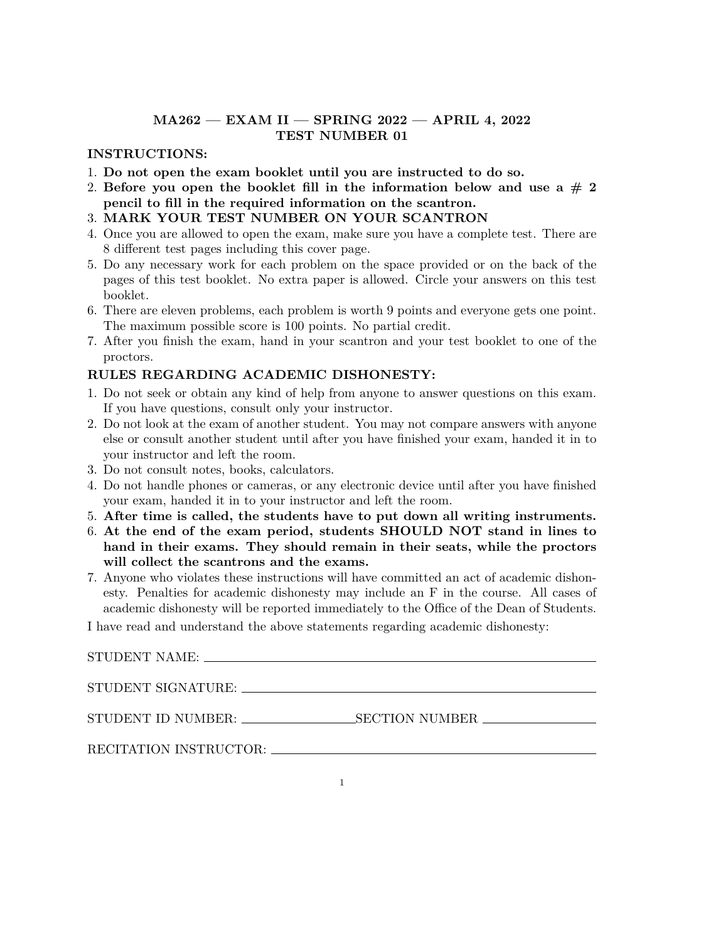### **MA262 — EXAM II — SPRING 2022 — APRIL 4, 2022 TEST NUMBER 01**

#### **INSTRUCTIONS:**

- 1. **Do not open the exam booklet until you are instructed to do so.**
- 2. Before you open the booklet fill in the information below and use a  $# 2$ **pencil to fill in the required information on the scantron.**
- 3. **MARK YOUR TEST NUMBER ON YOUR SCANTRON**
- 4. Once you are allowed to open the exam, make sure you have a complete test. There are 8 different test pages including this cover page.
- 5. Do any necessary work for each problem on the space provided or on the back of the pages of this test booklet. No extra paper is allowed. Circle your answers on this test booklet.
- 6. There are eleven problems, each problem is worth 9 points and everyone gets one point. The maximum possible score is 100 points. No partial credit.
- 7. After you finish the exam, hand in your scantron and your test booklet to one of the proctors.

### **RULES REGARDING ACADEMIC DISHONESTY:**

- 1. Do not seek or obtain any kind of help from anyone to answer questions on this exam. If you have questions, consult only your instructor.
- 2. Do not look at the exam of another student. You may not compare answers with anyone else or consult another student until after you have finished your exam, handed it in to your instructor and left the room.
- 3. Do not consult notes, books, calculators.
- 4. Do not handle phones or cameras, or any electronic device until after you have finished your exam, handed it in to your instructor and left the room.
- 5. **After time is called, the students have to put down all writing instruments.**
- 6. **At the end of the exam period, students SHOULD NOT stand in lines to hand in their exams. They should remain in their seats, while the proctors will collect the scantrons and the exams.**
- 7. Anyone who violates these instructions will have committed an act of academic dishonesty. Penalties for academic dishonesty may include an F in the course. All cases of academic dishonesty will be reported immediately to the Office of the Dean of Students.

I have read and understand the above statements regarding academic dishonesty:

| STUDENT NAME:          |                                  |  |
|------------------------|----------------------------------|--|
|                        |                                  |  |
| STUDENT SIGNATURE:     |                                  |  |
|                        |                                  |  |
| STUDENT ID NUMBER:     | _SECTION NUMBER ________________ |  |
|                        |                                  |  |
| RECITATION INSTRUCTOR: |                                  |  |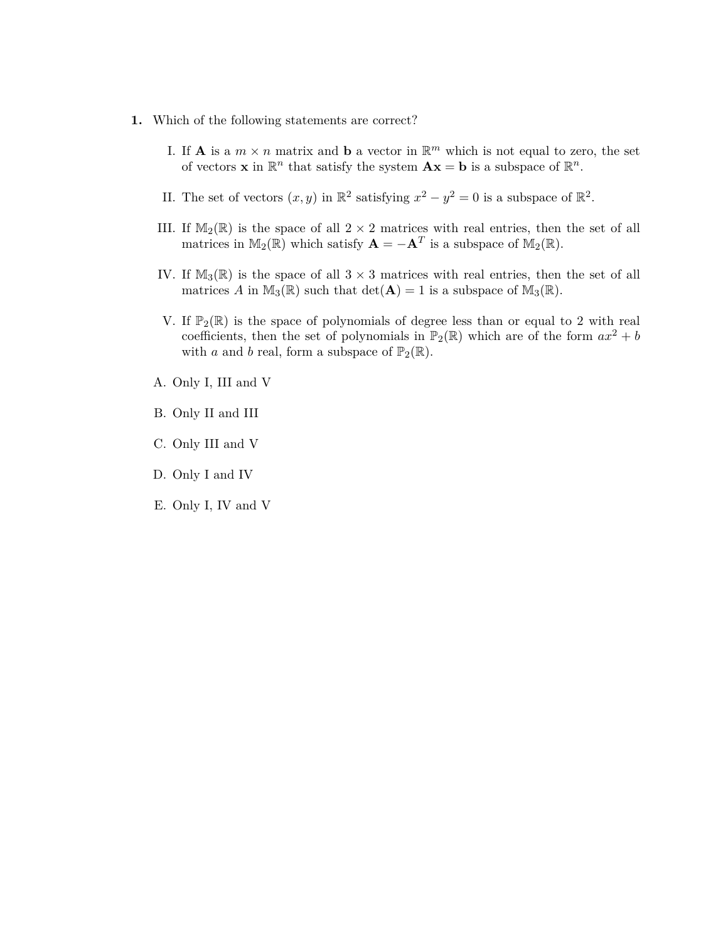- **1.** Which of the following statements are correct?
	- I. If **A** is a  $m \times n$  matrix and **b** a vector in  $\mathbb{R}^m$  which is not equal to zero, the set of vectors **x** in  $\mathbb{R}^n$  that satisfy the system  $\mathbf{A}\mathbf{x} = \mathbf{b}$  is a subspace of  $\mathbb{R}^n$ .
	- II. The set of vectors  $(x, y)$  in  $\mathbb{R}^2$  satisfying  $x^2 y^2 = 0$  is a subspace of  $\mathbb{R}^2$ .
	- III. If  $M_2(\mathbb{R})$  is the space of all  $2 \times 2$  matrices with real entries, then the set of all matrices in  $\mathbb{M}_2(\mathbb{R})$  which satisfy  $\mathbf{A} = -\mathbf{A}^T$  is a subspace of  $\mathbb{M}_2(\mathbb{R})$ .
	- IV. If  $M_3(\mathbb{R})$  is the space of all  $3 \times 3$  matrices with real entries, then the set of all matrices A in  $\mathbb{M}_3(\mathbb{R})$  such that  $\det(\mathbf{A}) = 1$  is a subspace of  $\mathbb{M}_3(\mathbb{R})$ .
	- V. If  $\mathbb{P}_2(\mathbb{R})$  is the space of polynomials of degree less than or equal to 2 with real coefficients, then the set of polynomials in  $\mathbb{P}_2(\mathbb{R})$  which are of the form  $ax^2 + b$ with *a* and *b* real, form a subspace of  $\mathbb{P}_2(\mathbb{R})$ .
	- A. Only I, III and V
	- B. Only II and III
	- C. Only III and V
	- D. Only I and IV
	- E. Only I, IV and V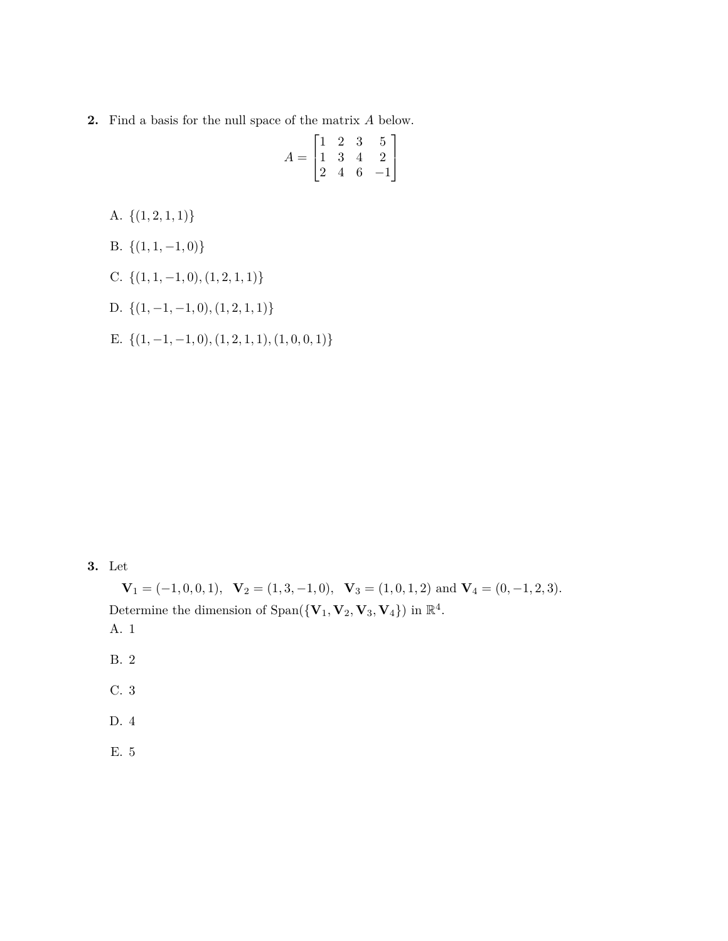**2.** Find a basis for the null space of the matrix *A* below.

|       |  | $\begin{bmatrix} 1 & 2 & 3 & 5 \end{bmatrix}$                                                      |
|-------|--|----------------------------------------------------------------------------------------------------|
| $A =$ |  | $\begin{bmatrix} 1 & 2 & 3 & 0 \\ 1 & 3 & 4 & 2 \\ 2 & 4 & 6 & -1 \end{bmatrix}$<br>$\overline{2}$ |
|       |  |                                                                                                    |

- A. *{*(1*,* 2*,* 1*,* 1)*}*
- B. *{*(1*,* 1*, −*1*,* 0)*}*
- C. *{*(1*,* 1*, −*1*,* 0)*,*(1*,* 2*,* 1*,* 1)*}*

D. 
$$
\{(1,-1,-1,0),(1,2,1,1)\}
$$

E. *{*(1*, −*1*, −*1*,* 0)*,*(1*,* 2*,* 1*,* 1)*,*(1*,* 0*,* 0*,* 1)*}*

## **3.** Let

 $\mathbf{V}_1 = (-1, 0, 0, 1), \ \mathbf{V}_2 = (1, 3, -1, 0), \ \mathbf{V}_3 = (1, 0, 1, 2) \text{ and } \mathbf{V}_4 = (0, -1, 2, 3).$ Determine the dimension of  $Span({{\bf{V}}_1, {{\bf{V}}_2}, {{\bf{V}}_3}, {{\bf{V}}_4}})$  in  $\mathbb{R}^4$ .

- A. 1
- B. 2
- C. 3
- D. 4
- E. 5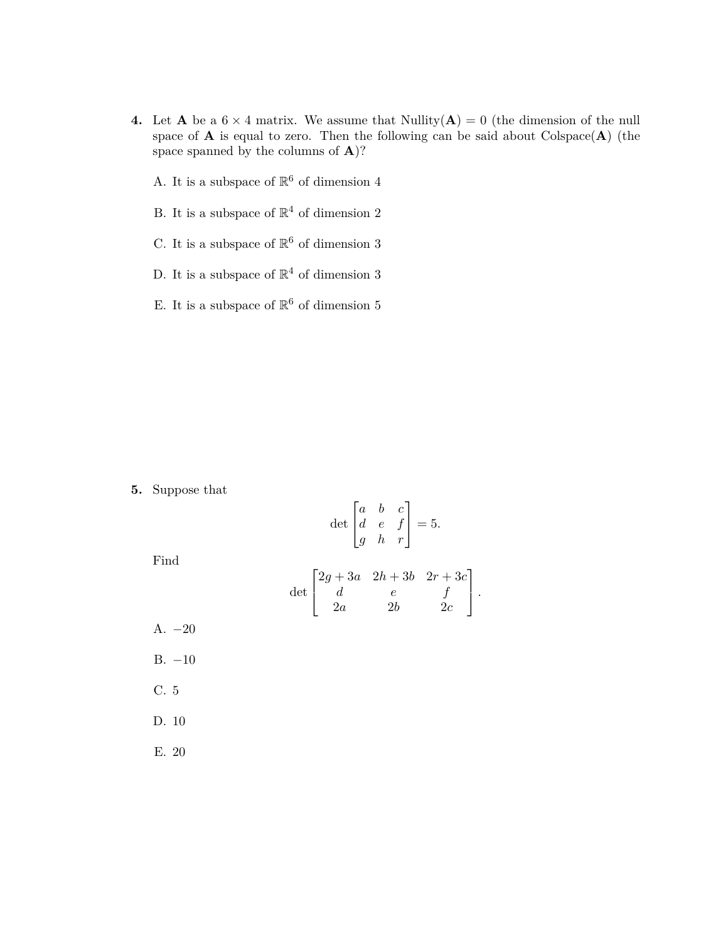- **4.** Let **A** be a  $6 \times 4$  matrix. We assume that Nullity( $\mathbf{A}$ ) = 0 (the dimension of the null space of  $A$  is equal to zero. Then the following can be said about  $\text{Colspace}(\mathbf{A})$  (the space spanned by the columns of **A**)?
	- A. It is a subspace of  $\mathbb{R}^6$  of dimension  $4$
	- B. It is a subspace of  $\mathbb{R}^4$  of dimension 2
	- C. It is a subspace of  $\mathbb{R}^6$  of dimension  $3$
	- D. It is a subspace of  $\mathbb{R}^4$  of dimension 3
	- E. It is a subspace of  $\mathbb{R}^6$  of dimension  $5$

**5.** Suppose that

$$
\det \begin{bmatrix} a & b & c \\ d & e & f \\ g & h & r \end{bmatrix} = 5.
$$

Find

$$
\det\begin{bmatrix}2g+3a&2h+3b&2r+3c\\d&e&f\\2a&2b&2c\end{bmatrix}.
$$

- A. *−*20 B. *−*10
- C. 5
- D. 10
- E. 20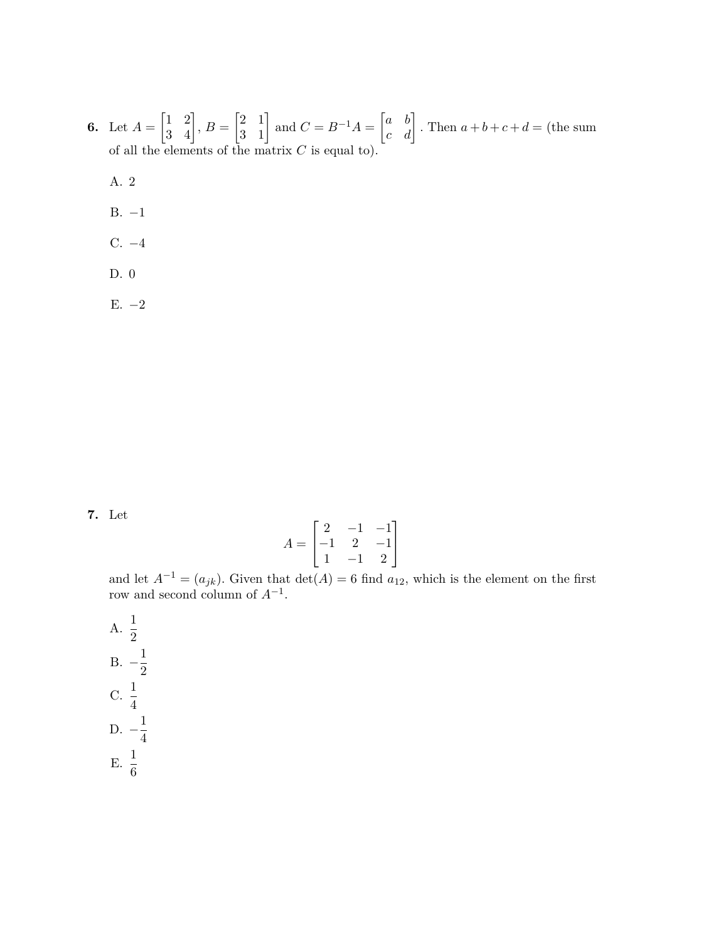**6.** Let  $A =$  $\begin{bmatrix} 1 & 2 \\ 3 & 4 \end{bmatrix}$ ,  $B =$  $\begin{bmatrix} 2 & 1 \\ 3 & 1 \end{bmatrix}$  and  $C = B^{-1}A = \begin{bmatrix} a & b \\ c & d \end{bmatrix}$ . Then  $a+b+c+d =$  (the sum of all the elements of the matrix *C* is equal to).

A. 2

- B. *−*1
- C. *−*4
- D. 0

E. *−*2

**7.** Let

$$
A = \begin{bmatrix} 2 & -1 & -1 \\ -1 & 2 & -1 \\ 1 & -1 & 2 \end{bmatrix}
$$

and let  $A^{-1} = (a_{jk})$ . Given that  $\det(A) = 6$  find  $a_{12}$ , which is the element on the first row and second column of *A−*<sup>1</sup> .

A.  $\frac{1}{2}$ B.  $-\frac{1}{2}$ 2  $C. \frac{1}{4}$ D.  $-\frac{1}{4}$ 4 E.  $\frac{1}{6}$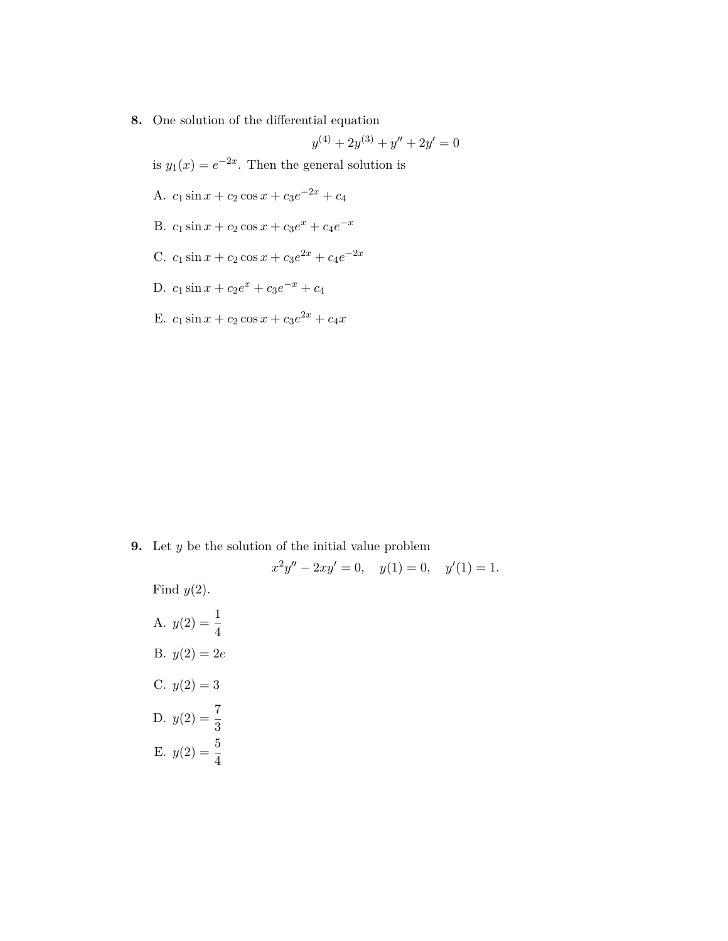**8.** One solution of the differential equation

$$
y^{(4)} + 2y^{(3)} + y'' + 2y' = 0
$$
  
is  $y_1(x) = e^{-2x}$ . Then the general solution is  
A.  $c_1 \sin x + c_2 \cos x + c_3 e^{-2x} + c_4$   
B.  $c_1 \sin x + c_2 \cos x + c_3 e^x + c_4 e^{-x}$   
C.  $c_1 \sin x + c_2 \cos x + c_3 e^{2x} + c_4 e^{-2x}$   
D.  $c_1 \sin x + c_2 e^x + c_3 e^{-x} + c_4$ 

E.  $c_1 \sin x + c_2 \cos x + c_3 e^{2x} + c_4 x$ 

**9.** Let *y* be the solution of the initial value problem

$$
x^{2}y'' - 2xy' = 0, \quad y(1) = 0, \quad y'(1) = 1.
$$

Find *y*(2).

A.  $y(2) = \frac{1}{4}$ B.  $y(2) = 2e$ C.  $y(2) = 3$ D.  $y(2) = \frac{7}{3}$ E.  $y(2) = \frac{5}{4}$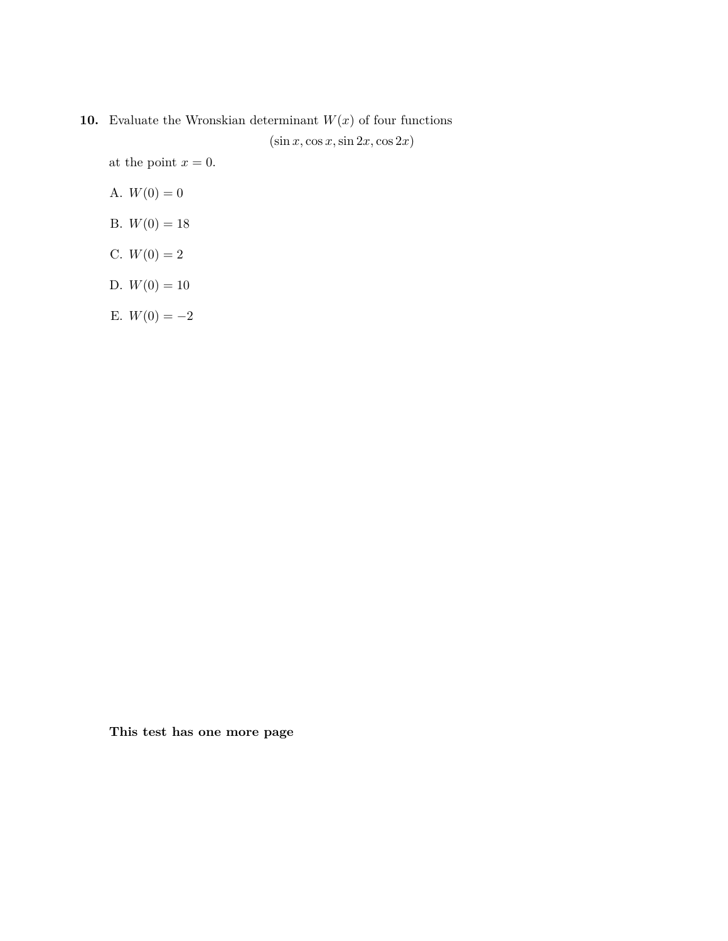# **10.** Evaluate the Wronskian determinant  $W(x)$  of four functions  $(\sin x, \cos x, \sin 2x, \cos 2x)$

at the point  $x = 0$ .

$$
A. W(0) = 0
$$

- B.  $W(0) = 18$
- C.  $W(0) = 2$
- D.  $W(0) = 10$

$$
\to. \ W(0)=-2
$$

**This test has one more page**